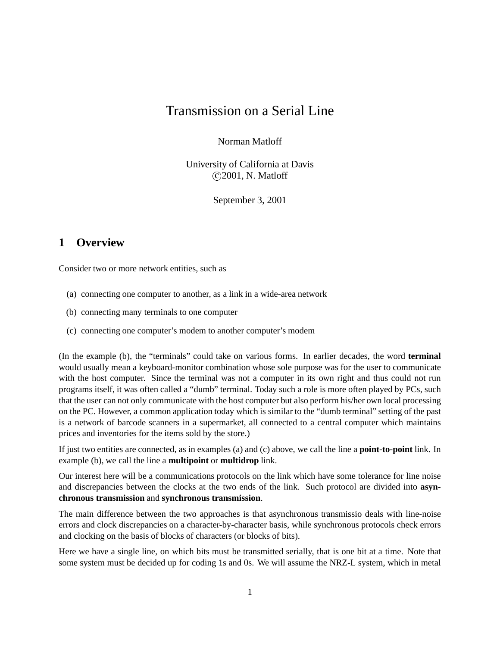# Transmission on a Serial Line

Norman Matloff

University of California at Davis c 2001, N. Matloff

September 3, 2001

## **1 Overview**

Consider two or more network entities, such as

- (a) connecting one computer to another, as a link in a wide-area network
- (b) connecting many terminals to one computer
- (c) connecting one computer's modem to another computer's modem

(In the example (b), the "terminals" could take on various forms. In earlier decades, the word **terminal** would usually mean a keyboard-monitor combination whose sole purpose was for the user to communicate with the host computer. Since the terminal was not a computer in its own right and thus could not run programs itself, it was often called a "dumb" terminal. Today such a role is more often played by PCs, such that the user can not only communicate with the host computer but also perform his/her own local processing on the PC. However, a common application today which is similar to the "dumb terminal" setting of the past is a network of barcode scanners in a supermarket, all connected to a central computer which maintains prices and inventories for the items sold by the store.)

If just two entities are connected, as in examples (a) and (c) above, we call the line a **point-to-point** link. In example (b), we call the line a **multipoint** or **multidrop** link.

Our interest here will be a communications protocols on the link which have some tolerance for line noise and discrepancies between the clocks at the two ends of the link. Such protocol are divided into **asynchronous transmission** and **synchronous transmission**.

The main difference between the two approaches is that asynchronous transmissio deals with line-noise errors and clock discrepancies on a character-by-character basis, while synchronous protocols check errors and clocking on the basis of blocks of characters (or blocks of bits).

Here we have a single line, on which bits must be transmitted serially, that is one bit at a time. Note that some system must be decided up for coding 1s and 0s. We will assume the NRZ-L system, which in metal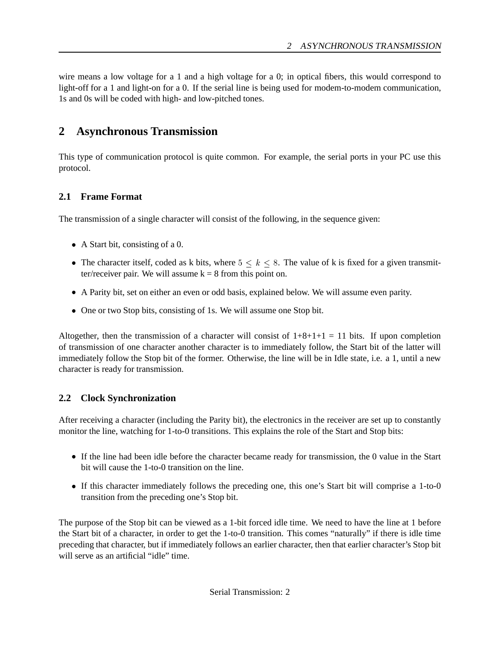wire means a low voltage for a 1 and a high voltage for a 0; in optical fibers, this would correspond to light-off for a 1 and light-on for a 0. If the serial line is being used for modem-to-modem communication, 1s and 0s will be coded with high- and low-pitched tones.

## **2 Asynchronous Transmission**

This type of communication protocol is quite common. For example, the serial ports in your PC use this protocol.

#### **2.1 Frame Format**

The transmission of a single character will consist of the following, in the sequence given:

- A Start bit, consisting of a 0.
- The character itself, coded as k bits, where  $5 \leq k \leq 8$ . The value of k is fixed for a given transmitter/receiver pair. We will assume  $k = 8$  from this point on.
- A Parity bit, set on either an even or odd basis, explained below. We will assume even parity.
- One or two Stop bits, consisting of 1s. We will assume one Stop bit.

Altogether, then the transmission of a character will consist of  $1+8+1+1=11$  bits. If upon completion of transmission of one character another character is to immediately follow, the Start bit of the latter will immediately follow the Stop bit of the former. Otherwise, the line will be in Idle state, i.e. a 1, until a new character is ready for transmission.

#### **2.2 Clock Synchronization**

After receiving a character (including the Parity bit), the electronics in the receiver are set up to constantly monitor the line, watching for 1-to-0 transitions. This explains the role of the Start and Stop bits:

- If the line had been idle before the character became ready for transmission, the 0 value in the Start bit will cause the 1-to-0 transition on the line.
- If this character immediately follows the preceding one, this one's Start bit will comprise a 1-to-0 transition from the preceding one's Stop bit.

The purpose of the Stop bit can be viewed as a 1-bit forced idle time. We need to have the line at 1 before the Start bit of a character, in order to get the 1-to-0 transition. This comes "naturally" if there is idle time preceding that character, but if immediately follows an earlier character, then that earlier character's Stop bit will serve as an artificial "idle" time.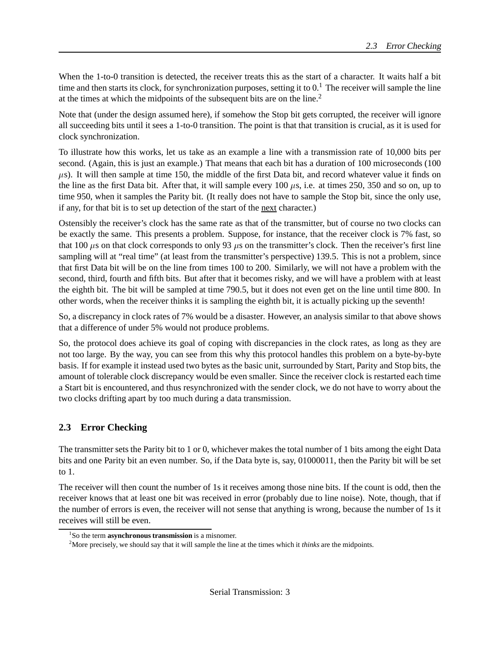When the 1-to-0 transition is detected, the receiver treats this as the start of a character. It waits half a bit time and then starts its clock, for synchronization purposes, setting it to  $0<sup>1</sup>$  The receiver will sample the line at the times at which the midpoints of the subsequent bits are on the line.<sup>2</sup>

Note that (under the design assumed here), if somehow the Stop bit gets corrupted, the receiver will ignore all succeeding bits until it sees a 1-to-0 transition. The point is that that transition is crucial, as it is used for clock synchronization.

To illustrate how this works, let us take as an example a line with a transmission rate of 10,000 bits per second. (Again, this is just an example.) That means that each bit has a duration of 100 microseconds (100  $\mu$ s). It will then sample at time 150, the middle of the first Data bit, and record whatever value it finds on the line as the first Data bit. After that, it will sample every 100  $\mu$ s, i.e. at times 250, 350 and so on, up to time 950, when it samples the Parity bit. (It really does not have to sample the Stop bit, since the only use, if any, for that bit is to set up detection of the start of the next character.)

Ostensibly the receiver's clock has the same rate as that of the transmitter, but of course no two clocks can be exactly the same. This presents a problem. Suppose, for instance, that the receiver clock is 7% fast, so that 100  $\mu$ s on that clock corresponds to only 93  $\mu$ s on the transmitter's clock. Then the receiver's first line sampling will at "real time" (at least from the transmitter's perspective) 139.5. This is not a problem, since that first Data bit will be on the line from times 100 to 200. Similarly, we will not have a problem with the second, third, fourth and fifth bits. But after that it becomes risky, and we will have a problem with at least the eighth bit. The bit will be sampled at time 790.5, but it does not even get on the line until time 800. In other words, when the receiver thinks it is sampling the eighth bit, it is actually picking up the seventh!

So, a discrepancy in clock rates of 7% would be a disaster. However, an analysis similar to that above shows that a difference of under 5% would not produce problems.

So, the protocol does achieve its goal of coping with discrepancies in the clock rates, as long as they are not too large. By the way, you can see from this why this protocol handles this problem on a byte-by-byte basis. If for example it instead used two bytes as the basic unit, surrounded by Start, Parity and Stop bits, the amount of tolerable clock discrepancy would be even smaller. Since the receiver clock is restarted each time a Start bit is encountered, and thus resynchronized with the sender clock, we do not have to worry about the two clocks drifting apart by too much during a data transmission.

### **2.3 Error Checking**

The transmitter sets the Parity bit to 1 or 0, whichever makes the total number of 1 bits among the eight Data bits and one Parity bit an even number. So, if the Data byte is, say, 01000011, then the Parity bit will be set to 1.

The receiver will then count the number of 1s it receives among those nine bits. If the count is odd, then the receiver knows that at least one bit was received in error (probably due to line noise). Note, though, that if the number of errors is even, the receiver will not sense that anything is wrong, because the number of 1s it receives will still be even.

<sup>&</sup>lt;sup>1</sup>So the term **asynchronous transmission** is a misnomer.

<sup>&</sup>lt;sup>2</sup>More precisely, we should say that it will sample the line at the times which it *thinks* are the midpoints.